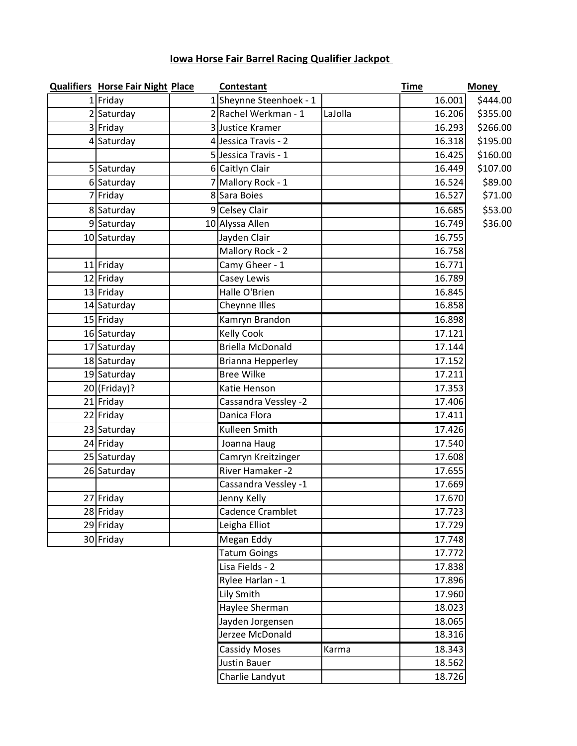## **Iowa Horse Fair Barrel Racing Qualifier Jackpot**

| <b>Qualifiers Horse Fair Night Place</b> | Contestant              |         | <b>Time</b> | <b>Money</b> |
|------------------------------------------|-------------------------|---------|-------------|--------------|
| 1 Friday                                 | 1 Sheynne Steenhoek - 1 |         | 16.001      | \$444.00     |
| 2 Saturday                               | 2 Rachel Werkman - 1    | LaJolla | 16.206      | \$355.00     |
| 3 Friday                                 | 3 Justice Kramer        |         | 16.293      | \$266.00     |
| 4 Saturday                               | 4 Jessica Travis - 2    |         | 16.318      | \$195.00     |
|                                          | 5 Jessica Travis - 1    |         | 16.425      | \$160.00     |
| 5 Saturday                               | 6 Caitlyn Clair         |         | 16.449      | \$107.00     |
| 6 Saturday                               | 7 Mallory Rock - 1      |         | 16.524      | \$89.00      |
| 7 Friday                                 | 8 Sara Boies            |         | 16.527      | \$71.00      |
| 8 Saturday                               | 9 Celsey Clair          |         | 16.685      | \$53.00      |
| 9 Saturday                               | 10 Alyssa Allen         |         | 16.749      | \$36.00      |
| 10 Saturday                              | Jayden Clair            |         | 16.755      |              |
|                                          | Mallory Rock - 2        |         | 16.758      |              |
| 11 Friday                                | Camy Gheer - 1          |         | 16.771      |              |
| 12 Friday                                | Casey Lewis             |         | 16.789      |              |
| 13 Friday                                | Halle O'Brien           |         | 16.845      |              |
| 14 Saturday                              | Cheynne Illes           |         | 16.858      |              |
| 15 Friday                                | Kamryn Brandon          |         | 16.898      |              |
| 16 Saturday                              | <b>Kelly Cook</b>       |         | 17.121      |              |
| 17 Saturday                              | <b>Briella McDonald</b> |         | 17.144      |              |
| 18 Saturday                              | Brianna Hepperley       |         | 17.152      |              |
| 19 Saturday                              | <b>Bree Wilke</b>       |         | 17.211      |              |
| $20$ (Friday)?                           | Katie Henson            |         | 17.353      |              |
| 21 Friday                                | Cassandra Vessley -2    |         | 17.406      |              |
| 22 Friday                                | Danica Flora            |         | 17.411      |              |
| 23 Saturday                              | Kulleen Smith           |         | 17.426      |              |
| 24 Friday                                | Joanna Haug             |         | 17.540      |              |
| 25 Saturday                              | Camryn Kreitzinger      |         | 17.608      |              |
| 26 Saturday                              | River Hamaker -2        |         | 17.655      |              |
|                                          | Cassandra Vessley -1    |         | 17.669      |              |
| 27 Friday                                | Jenny Kelly             |         | 17.670      |              |
| 28 Friday                                | Cadence Cramblet        |         | 17.723      |              |
| 29 Friday                                | Leigha Elliot           |         | 17.729      |              |
| 30 Friday                                | Megan Eddy              |         | 17.748      |              |
|                                          | <b>Tatum Goings</b>     |         | 17.772      |              |
|                                          | Lisa Fields - 2         |         | 17.838      |              |
|                                          | Rylee Harlan - 1        |         | 17.896      |              |
|                                          | Lily Smith              |         | 17.960      |              |
|                                          | Haylee Sherman          |         | 18.023      |              |
|                                          | Jayden Jorgensen        |         | 18.065      |              |
|                                          | Jerzee McDonald         |         | 18.316      |              |
|                                          | <b>Cassidy Moses</b>    | Karma   | 18.343      |              |
|                                          | <b>Justin Bauer</b>     |         | 18.562      |              |
|                                          | Charlie Landyut         |         | 18.726      |              |